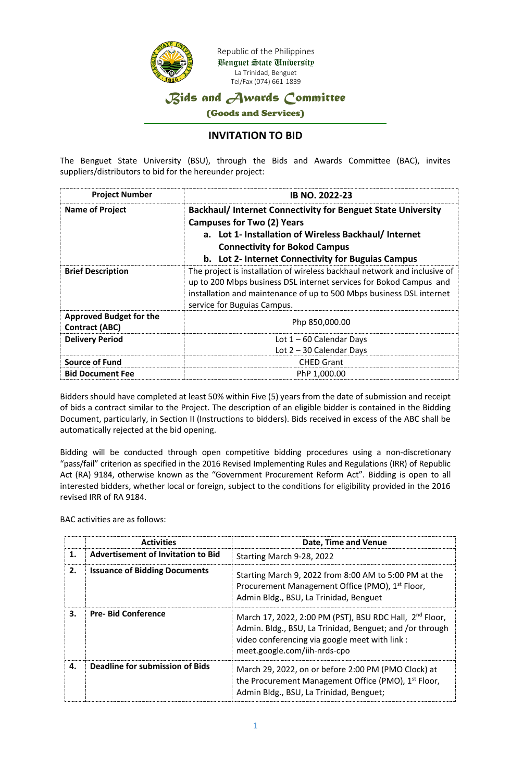

## *Bids and Awards Committee*

(Goods and Services)

## **INVITATION TO BID**

The Benguet State University (BSU), through the Bids and Awards Committee (BAC), invites suppliers/distributors to bid for the hereunder project:

| <b>Project Number</b>                                   | <b>IB NO. 2022-23</b>                                                                                                                                                                                                                                    |  |
|---------------------------------------------------------|----------------------------------------------------------------------------------------------------------------------------------------------------------------------------------------------------------------------------------------------------------|--|
| <b>Name of Project</b>                                  | Backhaul/ Internet Connectivity for Benguet State University<br><b>Campuses for Two (2) Years</b><br>a. Lot 1- Installation of Wireless Backhaul/ Internet<br><b>Connectivity for Bokod Campus</b><br>b. Lot 2- Internet Connectivity for Buguias Campus |  |
| <b>Brief Description</b>                                | The project is installation of wireless backhaul network and inclusive of<br>up to 200 Mbps business DSL internet services for Bokod Campus and<br>installation and maintenance of up to 500 Mbps business DSL internet<br>service for Buguias Campus.   |  |
| <b>Approved Budget for the</b><br><b>Contract (ABC)</b> | Php 850,000.00                                                                                                                                                                                                                                           |  |
| <b>Delivery Period</b>                                  | Lot $1 - 60$ Calendar Days<br>Lot $2 - 30$ Calendar Days                                                                                                                                                                                                 |  |
| <b>Source of Fund</b>                                   | <b>CHED Grant</b>                                                                                                                                                                                                                                        |  |
| <b>Bid Document Fee</b>                                 | PhP 1,000.00                                                                                                                                                                                                                                             |  |

Bidders should have completed at least 50% within Five (5) years from the date of submission and receipt of bids a contract similar to the Project. The description of an eligible bidder is contained in the Bidding Document, particularly, in Section II (Instructions to bidders). Bids received in excess of the ABC shall be automatically rejected at the bid opening.

Bidding will be conducted through open competitive bidding procedures using a non-discretionary "pass/fail" criterion as specified in the 2016 Revised Implementing Rules and Regulations (IRR) of Republic Act (RA) 9184, otherwise known as the "Government Procurement Reform Act". Bidding is open to all interested bidders, whether local or foreign, subject to the conditions for eligibility provided in the 2016 revised IRR of RA 9184.

BAC activities are as follows:

|    | <b>Activities</b>                         | Date, Time and Venue                                                                                                                                                                                              |
|----|-------------------------------------------|-------------------------------------------------------------------------------------------------------------------------------------------------------------------------------------------------------------------|
| 1. | <b>Advertisement of Invitation to Bid</b> | Starting March 9-28, 2022                                                                                                                                                                                         |
| 2. | <b>Issuance of Bidding Documents</b>      | Starting March 9, 2022 from 8:00 AM to 5:00 PM at the<br>Procurement Management Office (PMO), 1 <sup>st</sup> Floor,<br>Admin Bldg., BSU, La Trinidad, Benguet                                                    |
| 3. | <b>Pre-Bid Conference</b>                 | March 17, 2022, 2:00 PM (PST), BSU RDC Hall, 2 <sup>nd</sup> Floor,<br>Admin. Bldg., BSU, La Trinidad, Benguet; and /or through<br>video conferencing via google meet with link :<br>meet.google.com/iih-nrds-cpo |
| 4. | Deadline for submission of Bids           | March 29, 2022, on or before 2:00 PM (PMO Clock) at<br>the Procurement Management Office (PMO), 1 <sup>st</sup> Floor,<br>Admin Bldg., BSU, La Trinidad, Benguet;                                                 |